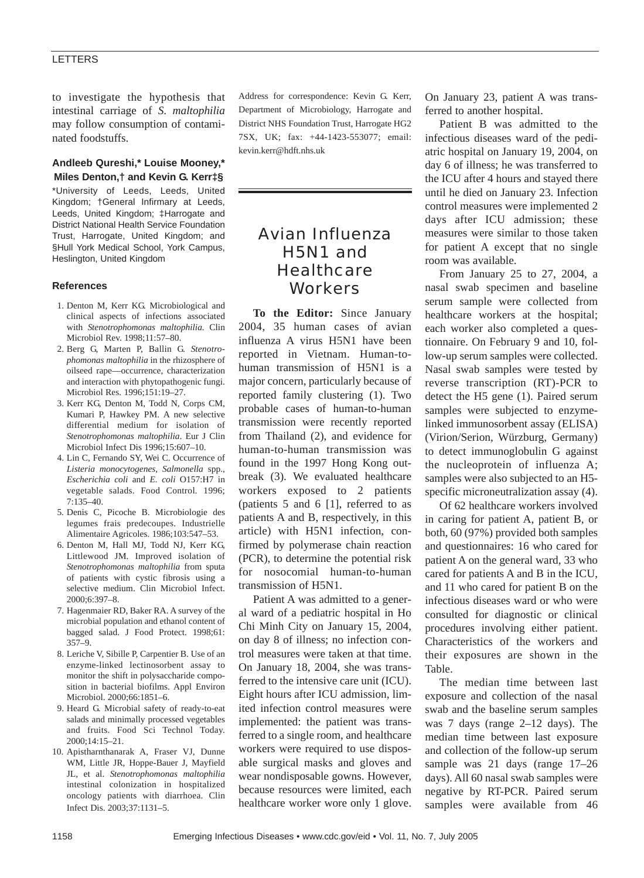### **LETTERS**

to investigate the hypothesis that intestinal carriage of *S*. *maltophilia* may follow consumption of contaminated foodstuffs.

## **Andleeb Qureshi,\* Louise Mooney,\* Miles Denton,† and Kevin G. Kerr‡§**

\*University of Leeds, Leeds, United Kingdom; †General Infirmary at Leeds, Leeds, United Kingdom; ‡Harrogate and District National Health Service Foundation Trust, Harrogate, United Kingdom; and §Hull York Medical School, York Campus, Heslington, United Kingdom

### **References**

- 1. Denton M, Kerr KG. Microbiological and clinical aspects of infections associated with *Stenotrophomonas maltophilia.* Clin Microbiol Rev. 1998;11:57–80.
- 2. Berg G, Marten P, Ballin G. *Stenotrophomonas maltophilia* in the rhizosphere of oilseed rape—occurrence, characterization and interaction with phytopathogenic fungi. Microbiol Res. 1996;151:19–27.
- 3. Kerr KG, Denton M, Todd N, Corps CM, Kumari P, Hawkey PM. A new selective differential medium for isolation of *Stenotrophomonas maltophilia*. Eur J Clin Microbiol Infect Dis 1996;15:607–10.
- 4. Lin C, Fernando SY, Wei C. Occurrence of *Listeria monocytogenes*, *Salmonella* spp., *Escherichia coli* and *E. coli* O157:H7 in vegetable salads. Food Control*.* 1996;  $7:135-40.$
- 5*.* Denis C, Picoche B. Microbiologie des legumes frais predecoupes. Industrielle Alimentaire Agricoles. 1986;103:547–53.
- 6. Denton M, Hall MJ, Todd NJ, Kerr KG, Littlewood JM*.* Improved isolation of *Stenotrophomonas maltophilia* from sputa of patients with cystic fibrosis using a selective medium. Clin Microbiol Infect. 2000;6:397–8.
- 7. Hagenmaier RD, Baker RA. A survey of the microbial population and ethanol content of bagged salad. J Food Protect. 1998;61: 357–9.
- 8. Leriche V, Sibille P, Carpentier B. Use of an enzyme-linked lectinosorbent assay to monitor the shift in polysaccharide composition in bacterial biofilms. Appl Environ Microbiol. 2000;66:1851–6.
- 9. Heard G. Microbial safety of ready-to-eat salads and minimally processed vegetables and fruits. Food Sci Technol Today. 2000;14:15–21.
- 10. Apistharnthanarak A, Fraser VJ, Dunne WM, Little JR, Hoppe-Bauer J, Mayfield JL, et al. *Stenotrophomonas maltophilia* intestinal colonization in hospitalized oncology patients with diarrhoea. Clin Infect Dis. 2003;37:1131–5.

Address for correspondence: Kevin G. Kerr, Department of Microbiology, Harrogate and District NHS Foundation Trust, Harrogate HG2 7SX, UK; fax: +44-1423-553077; email: kevin.kerr@hdft.nhs.uk

# Avian Influenza H5N1 and **Healthcare Workers**

**To the Editor:** Since January 2004, 35 human cases of avian influenza A virus H5N1 have been reported in Vietnam. Human-tohuman transmission of H5N1 is a major concern, particularly because of reported family clustering (1). Two probable cases of human-to-human transmission were recently reported from Thailand (2), and evidence for human-to-human transmission was found in the 1997 Hong Kong outbreak (3). We evaluated healthcare workers exposed to 2 patients (patients 5 and 6 [1], referred to as patients A and B, respectively, in this article) with H5N1 infection, confirmed by polymerase chain reaction (PCR), to determine the potential risk for nosocomial human-to-human transmission of H5N1.

Patient A was admitted to a general ward of a pediatric hospital in Ho Chi Minh City on January 15, 2004, on day 8 of illness; no infection control measures were taken at that time. On January 18, 2004, she was transferred to the intensive care unit (ICU). Eight hours after ICU admission, limited infection control measures were implemented: the patient was transferred to a single room, and healthcare workers were required to use disposable surgical masks and gloves and wear nondisposable gowns. However, because resources were limited, each healthcare worker wore only 1 glove.

On January 23, patient A was transferred to another hospital.

Patient B was admitted to the infectious diseases ward of the pediatric hospital on January 19, 2004, on day 6 of illness; he was transferred to the ICU after 4 hours and stayed there until he died on January 23. Infection control measures were implemented 2 days after ICU admission; these measures were similar to those taken for patient A except that no single room was available.

From January 25 to 27, 2004, a nasal swab specimen and baseline serum sample were collected from healthcare workers at the hospital; each worker also completed a questionnaire. On February 9 and 10, follow-up serum samples were collected. Nasal swab samples were tested by reverse transcription (RT)-PCR to detect the H5 gene (1). Paired serum samples were subjected to enzymelinked immunosorbent assay (ELISA) (Virion/Serion, Würzburg, Germany) to detect immunoglobulin G against the nucleoprotein of influenza A; samples were also subjected to an H5 specific microneutralization assay (4).

Of 62 healthcare workers involved in caring for patient A, patient B, or both, 60 (97%) provided both samples and questionnaires: 16 who cared for patient A on the general ward, 33 who cared for patients A and B in the ICU, and 11 who cared for patient B on the infectious diseases ward or who were consulted for diagnostic or clinical procedures involving either patient. Characteristics of the workers and their exposures are shown in the Table.

The median time between last exposure and collection of the nasal swab and the baseline serum samples was 7 days (range 2–12 days). The median time between last exposure and collection of the follow-up serum sample was 21 days (range 17–26 days). All 60 nasal swab samples were negative by RT-PCR. Paired serum samples were available from 46